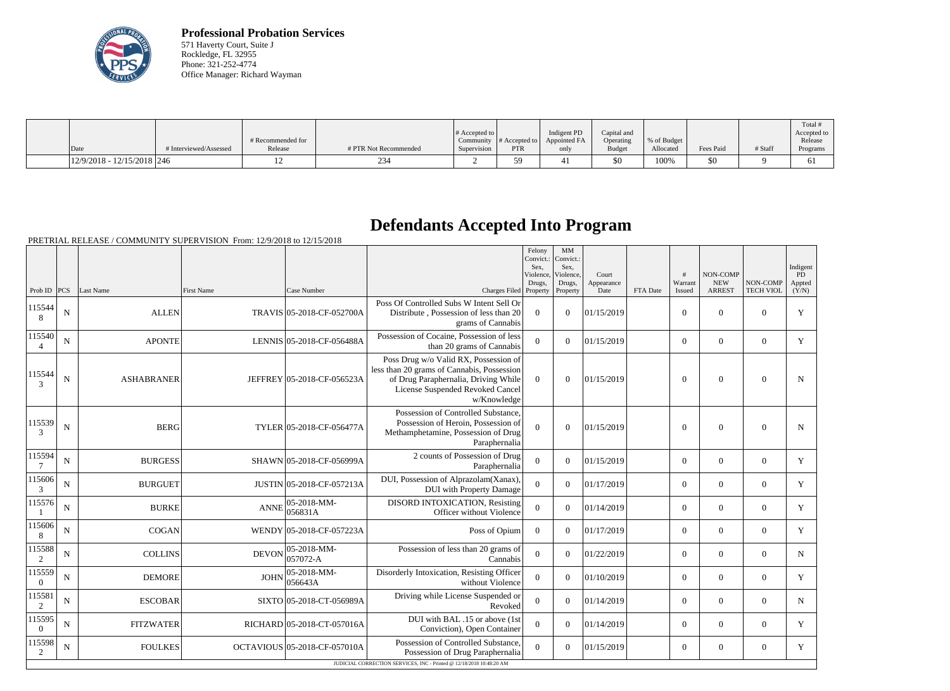

**Professional Probation Services** 571 Haverty Court, Suite J Rockledge, FL 32955 Phone: 321-252-4774 Office Manager: Richard Wayman

| Date                         | # Interviewed/Assessed | # Recommended for<br>Release | # PTR Not Recommended | $\#$ Accepted to<br>Supervision | $\sim$ Community # Accepted to $\sim$<br><b>PTR</b> | Indigent PD<br>Appointed FA | Capital and<br>Operating<br>Budget | % of Budget<br>Allocated | Fees Paid | # Staff | Total<br>Accepted to<br>Release<br>Programs |
|------------------------------|------------------------|------------------------------|-----------------------|---------------------------------|-----------------------------------------------------|-----------------------------|------------------------------------|--------------------------|-----------|---------|---------------------------------------------|
|                              |                        |                              |                       |                                 |                                                     | only                        |                                    |                          |           |         |                                             |
| $12/9/2018 - 12/15/2018$ 246 |                        |                              |                       |                                 | 50                                                  |                             | \$0                                | 100%                     | \$0       |         | 61                                          |

## **Defendants Accepted Into Program**

|                          |             |                   |                   |                              |                                                                                                                                                                                | Felony<br>Convict.:<br>Sex.<br>Violence,<br>Drugs, | MM<br>Convict.:<br>Sex.<br>Violence,<br>Drugs, | Court<br>Appearance |          | #<br>Warrant   | NON-COMP<br><b>NEW</b> | NON-COMP         | Indigent<br>PD<br>Appted |
|--------------------------|-------------|-------------------|-------------------|------------------------------|--------------------------------------------------------------------------------------------------------------------------------------------------------------------------------|----------------------------------------------------|------------------------------------------------|---------------------|----------|----------------|------------------------|------------------|--------------------------|
| Prob ID                  | <b>PCS</b>  | Last Name         | <b>First Name</b> | Case Number                  | Charges Filed Property                                                                                                                                                         |                                                    | Property                                       | Date                | FTA Date | Issued         | <b>ARREST</b>          | <b>TECH VIOL</b> | (Y/N)                    |
| 115544<br>8              | ${\bf N}$   | <b>ALLEN</b>      |                   | TRAVIS 05-2018-CF-052700A    | Poss Of Controlled Subs W Intent Sell Or<br>Distribute, Possession of less than 20<br>grams of Cannabis                                                                        | $\theta$                                           | $\overline{0}$                                 | 01/15/2019          |          | $\mathbf{0}$   | $\overline{0}$         | $\mathbf{0}$     | Y                        |
| 115540                   | ${\bf N}$   | <b>APONTE</b>     |                   | LENNIS 05-2018-CF-056488A    | Possession of Cocaine, Possession of less<br>than 20 grams of Cannabis                                                                                                         | $\overline{0}$                                     | $\theta$                                       | 01/15/2019          |          | $\overline{0}$ | $\overline{0}$         | $\mathbf{0}$     | Y                        |
| 115544<br>$\mathcal{F}$  | ${\bf N}$   | <b>ASHABRANER</b> |                   | JEFFREY 05-2018-CF-056523A   | Poss Drug w/o Valid RX, Possession of<br>less than 20 grams of Cannabis, Possession<br>of Drug Paraphernalia, Driving While<br>License Suspended Revoked Cancel<br>w/Knowledge | $\Omega$                                           | $\overline{0}$                                 | 01/15/2019          |          | $\overline{0}$ | $\overline{0}$         | $\boldsymbol{0}$ | $\mathbf N$              |
| 115539<br>3              | ${\bf N}$   | <b>BERG</b>       |                   | TYLER 05-2018-CF-056477A     | Possession of Controlled Substance,<br>Possession of Heroin, Possession of<br>Methamphetamine, Possession of Drug<br>Paraphernalia                                             | $\Omega$                                           | $\theta$                                       | 01/15/2019          |          | $\Omega$       | $\theta$               | $\overline{0}$   | $\mathbf N$              |
| 115594                   | $\mathbf N$ | <b>BURGESS</b>    |                   | SHAWN 05-2018-CF-056999A     | 2 counts of Possession of Drug<br>Paraphernalia                                                                                                                                | $\Omega$                                           | $\theta$                                       | 01/15/2019          |          | $\overline{0}$ | $\theta$               | $\overline{0}$   | Y                        |
| 115606<br>$\mathfrak{Z}$ | ${\bf N}$   | <b>BURGUET</b>    |                   | JUSTIN 05-2018-CF-057213A    | DUI, Possession of Alprazolam(Xanax),<br><b>DUI</b> with Property Damage                                                                                                       | $\mathbf{0}$                                       | $\theta$                                       | 01/17/2019          |          | $\overline{0}$ | $\overline{0}$         | $\overline{0}$   | $\mathbf Y$              |
| 115576                   | $\mathbf N$ | <b>BURKE</b>      | <b>ANNE</b>       | 05-2018-MM-<br>056831A       | DISORD INTOXICATION, Resisting<br>Officer without Violence                                                                                                                     | $\theta$                                           | $\Omega$                                       | 01/14/2019          |          | $\overline{0}$ | $\overline{0}$         | $\overline{0}$   | Y                        |
| 115606<br>8              | ${\bf N}$   | <b>COGAN</b>      |                   | WENDY 05-2018-CF-057223A     | Poss of Opium                                                                                                                                                                  | $\overline{0}$                                     | $\overline{0}$                                 | 01/17/2019          |          | $\overline{0}$ | $\overline{0}$         | $\mathbf{0}$     | $\mathbf Y$              |
| 115588<br>2              | ${\bf N}$   | <b>COLLINS</b>    | <b>DEVON</b>      | 05-2018-MM-<br>$057072-A$    | Possession of less than 20 grams of<br>Cannabis                                                                                                                                | $\overline{0}$                                     | $\Omega$                                       | 01/22/2019          |          | $\overline{0}$ | $\theta$               | $\overline{0}$   | $\mathbf N$              |
| 115559<br>$\Omega$       | $\mathbf N$ | <b>DEMORE</b>     | <b>JOHN</b>       | 05-2018-MM-<br>056643A       | Disorderly Intoxication, Resisting Officer<br>without Violence                                                                                                                 | $\overline{0}$                                     | $\Omega$                                       | 01/10/2019          |          | $\overline{0}$ | $\overline{0}$         | $\mathbf{0}$     | $\mathbf Y$              |
| 115581<br>2              | ${\bf N}$   | <b>ESCOBAR</b>    |                   | SIXTO 05-2018-CT-056989A     | Driving while License Suspended or<br>Revoked                                                                                                                                  | $\overline{0}$                                     | $\theta$                                       | 01/14/2019          |          | $\overline{0}$ | $\overline{0}$         | $\mathbf{0}$     | N                        |
| 115595<br>$\overline{0}$ | ${\bf N}$   | <b>FITZWATER</b>  |                   | RICHARD 05-2018-CT-057016A   | DUI with BAL .15 or above (1st<br>Conviction), Open Container                                                                                                                  | $\overline{0}$                                     | $\Omega$                                       | 01/14/2019          |          | $\overline{0}$ | $\overline{0}$         | $\mathbf{0}$     | Y                        |
| 115598<br>2              | ${\bf N}$   | <b>FOULKES</b>    |                   | OCTAVIOUS 05-2018-CF-057010A | Possession of Controlled Substance,<br>Possession of Drug Paraphernalia                                                                                                        | $\theta$                                           | $\Omega$                                       | 01/15/2019          |          | $\theta$       | $\theta$               | $\Omega$         | $\mathbf Y$              |
|                          |             |                   |                   |                              | JUDICIAL CORRECTION SERVICES, INC - Printed @ 12/18/2018 10:48:20 AM                                                                                                           |                                                    |                                                |                     |          |                |                        |                  |                          |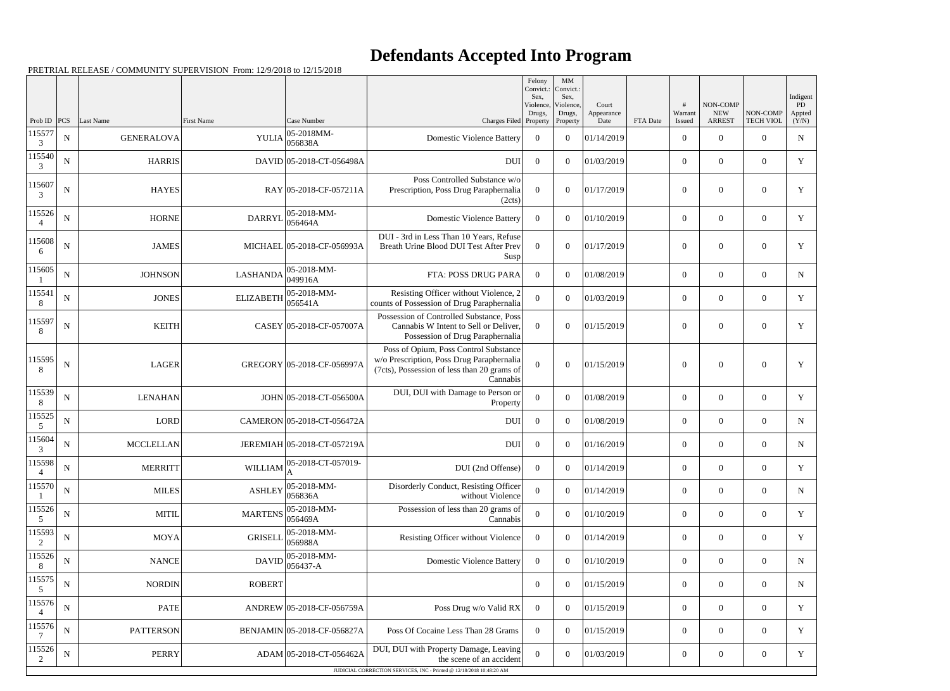## **Defendants Accepted Into Program**

|             |             |                   |                   |                             |                                                                                                                                               | Felony<br>Convict.:<br>Sex. | $\mathbf{M}\mathbf{M}$<br>Convict.:<br>Sex, |                     |          |                  |                        |                  |                          |
|-------------|-------------|-------------------|-------------------|-----------------------------|-----------------------------------------------------------------------------------------------------------------------------------------------|-----------------------------|---------------------------------------------|---------------------|----------|------------------|------------------------|------------------|--------------------------|
|             |             |                   |                   |                             |                                                                                                                                               | Violence,<br>Drugs,         | Violence,<br>Drugs,                         | Court<br>Appearance |          | #<br>Warrant     | NON-COMP<br><b>NEW</b> | NON-COMP         | Indigent<br>PD<br>Appted |
| Prob ID     | PCS         | Last Name         | <b>First Name</b> | Case Number                 | Charges Filed Property                                                                                                                        |                             | Property                                    | Date                | FTA Date | Issued           | <b>ARREST</b>          | <b>TECH VIOL</b> | (Y/N)                    |
| 115577<br>3 | ${\bf N}$   | <b>GENERALOVA</b> | <b>YULIA</b>      | 05-2018MM-<br>056838A       | <b>Domestic Violence Battery</b>                                                                                                              | $\overline{0}$              | $\overline{0}$                              | 01/14/2019          |          | $\boldsymbol{0}$ | $\overline{0}$         | $\overline{0}$   | $\mathbf N$              |
| 115540<br>3 | $\mathbf N$ | <b>HARRIS</b>     |                   | DAVID 05-2018-CT-056498A    | <b>DUI</b>                                                                                                                                    | $\overline{0}$              | $\theta$                                    | 01/03/2019          |          | $\overline{0}$   | $\overline{0}$         | $\overline{0}$   | Y                        |
| 115607<br>3 | ${\bf N}$   | <b>HAYES</b>      |                   | RAY 05-2018-CF-057211A      | Poss Controlled Substance w/o<br>Prescription, Poss Drug Paraphernalia<br>(2cts)                                                              | $\overline{0}$              | $\overline{0}$                              | 01/17/2019          |          | $\overline{0}$   | $\overline{0}$         | $\overline{0}$   | Y                        |
| 115526      | $\mathbf N$ | <b>HORNE</b>      | <b>DARRYI</b>     | 05-2018-MM-<br>056464A      | <b>Domestic Violence Battery</b>                                                                                                              | $\Omega$                    | $\theta$                                    | 01/10/2019          |          | $\overline{0}$   | $\overline{0}$         | $\overline{0}$   | Y                        |
| 115608<br>6 | $\mathbf N$ | <b>JAMES</b>      |                   | MICHAEL 05-2018-CF-056993A  | DUI - 3rd in Less Than 10 Years, Refuse<br>Breath Urine Blood DUI Test After Prev<br>Susp                                                     | $\boldsymbol{0}$            | $\boldsymbol{0}$                            | 01/17/2019          |          | $\boldsymbol{0}$ | $\overline{0}$         | $\overline{0}$   | Y                        |
| 115605      | $\mathbf N$ | <b>JOHNSON</b>    | <b>LASHANDA</b>   | 05-2018-MM-<br>049916A      | FTA: POSS DRUG PARA                                                                                                                           | $\Omega$                    | $\theta$                                    | 01/08/2019          |          | $\overline{0}$   | $\overline{0}$         | $\overline{0}$   | $\mathbf N$              |
| 115541<br>8 | $\mathbf N$ | <b>JONES</b>      | <b>ELIZABETH</b>  | 05-2018-MM-<br>056541A      | Resisting Officer without Violence, 2<br>counts of Possession of Drug Paraphernalia                                                           | $\boldsymbol{0}$            | $\theta$                                    | 01/03/2019          |          | $\overline{0}$   | $\overline{0}$         | $\overline{0}$   | Y                        |
| 115597<br>8 | $\mathbf N$ | <b>KEITH</b>      |                   | CASEY 05-2018-CF-057007A    | Possession of Controlled Substance, Poss<br>Cannabis W Intent to Sell or Deliver,<br>Possession of Drug Paraphernalia                         | $\theta$                    | $\Omega$                                    | 01/15/2019          |          | $\theta$         | $\overline{0}$         | $\boldsymbol{0}$ | Y                        |
| 115595<br>8 | ${\bf N}$   | <b>LAGER</b>      |                   | GREGORY 05-2018-CF-056997A  | Poss of Opium, Poss Control Substance<br>w/o Prescription, Poss Drug Paraphernalia<br>(7cts), Possession of less than 20 grams of<br>Cannabis | $\boldsymbol{0}$            | $\Omega$                                    | 01/15/2019          |          | $\Omega$         | $\theta$               | $\boldsymbol{0}$ | Y                        |
| 115539<br>8 | $\mathbf N$ | <b>LENAHAN</b>    |                   | JOHN 05-2018-CT-056500A     | DUI, DUI with Damage to Person or<br>Property                                                                                                 | $\boldsymbol{0}$            | $\theta$                                    | 01/08/2019          |          | $\overline{0}$   | $\theta$               | $\overline{0}$   | Y                        |
| 115525<br>5 | ${\bf N}$   | <b>LORD</b>       |                   | CAMERON 05-2018-CT-056472A  | <b>DUI</b>                                                                                                                                    | $\overline{0}$              | $\theta$                                    | 01/08/2019          |          | $\overline{0}$   | $\overline{0}$         | $\overline{0}$   | N                        |
| 115604<br>3 | $\mathbf N$ | <b>MCCLELLAN</b>  |                   | JEREMIAH 05-2018-CT-057219A | <b>DUI</b>                                                                                                                                    | $\overline{0}$              | $\Omega$                                    | 01/16/2019          |          | $\overline{0}$   | $\overline{0}$         | $\overline{0}$   | $\mathbf N$              |
| 115598      | $\mathbf N$ | MERRITT           | WILLIAM           | 05-2018-CT-057019-          | DUI (2nd Offense)                                                                                                                             | $\mathbf{0}$                | $\overline{0}$                              | 01/14/2019          |          | $\boldsymbol{0}$ | $\boldsymbol{0}$       | $\overline{0}$   | Y                        |
| 115570      | $\mathbf N$ | <b>MILES</b>      | <b>ASHLEY</b>     | 05-2018-MM-<br>056836A      | Disorderly Conduct, Resisting Officer<br>without Violence                                                                                     | $\mathbf{0}$                | $\theta$                                    | 01/14/2019          |          | $\overline{0}$   | $\overline{0}$         | $\overline{0}$   | $\mathbf N$              |
| 115526<br>5 | ${\bf N}$   | <b>MITIL</b>      | <b>MARTENS</b>    | 05-2018-MM-<br>056469A      | Possession of less than 20 grams of<br>Cannabis                                                                                               | $\boldsymbol{0}$            | $\overline{0}$                              | 01/10/2019          |          | $\boldsymbol{0}$ | $\overline{0}$         | $\overline{0}$   | $\mathbf Y$              |
| 115593<br>2 | ${\bf N}$   | MOYA              | <b>GRISELI</b>    | 05-2018-MM-<br>056988A      | Resisting Officer without Violence                                                                                                            | $\overline{0}$              | $\boldsymbol{0}$                            | 01/14/2019          |          | $\overline{0}$   | $\overline{0}$         | $\overline{0}$   | Y                        |
| 115526<br>8 | N           | <b>NANCE</b>      | <b>DAVID</b>      | 05-2018-MM-<br>056437-A     | <b>Domestic Violence Battery</b>                                                                                                              | $\overline{0}$              | $\boldsymbol{0}$                            | 01/10/2019          |          | $\boldsymbol{0}$ | $\overline{0}$         | $\boldsymbol{0}$ | $\mathbf N$              |
| 115575<br>5 | ${\bf N}$   | <b>NORDIN</b>     | <b>ROBERT</b>     |                             |                                                                                                                                               | $\overline{0}$              | $\overline{0}$                              | 01/15/2019          |          | $\overline{0}$   | $\overline{0}$         | $\overline{0}$   | $\mathbf N$              |
| 115576      | ${\bf N}$   | <b>PATE</b>       |                   | ANDREW 05-2018-CF-056759A   | Poss Drug w/o Valid RX                                                                                                                        | $\overline{0}$              | $\overline{0}$                              | 01/15/2019          |          | $\boldsymbol{0}$ | $\overline{0}$         | $\overline{0}$   | Y                        |
| 115576<br>7 | ${\bf N}$   | <b>PATTERSON</b>  |                   | BENJAMIN 05-2018-CF-056827A | Poss Of Cocaine Less Than 28 Grams                                                                                                            | $\overline{0}$              | $\overline{0}$                              | 01/15/2019          |          | $\overline{0}$   | $\overline{0}$         | $\overline{0}$   | Y                        |
| 115526<br>2 | $\mathbf N$ | <b>PERRY</b>      |                   | ADAM 05-2018-CT-056462A     | DUI, DUI with Property Damage, Leaving<br>the scene of an accident                                                                            | $\overline{0}$              | $\boldsymbol{0}$                            | 01/03/2019          |          | $\boldsymbol{0}$ | $\overline{0}$         | $\boldsymbol{0}$ | Y                        |
|             |             |                   |                   |                             | JUDICIAL CORRECTION SERVICES, INC - Printed @ 12/18/2018 10:48:20 AM                                                                          |                             |                                             |                     |          |                  |                        |                  |                          |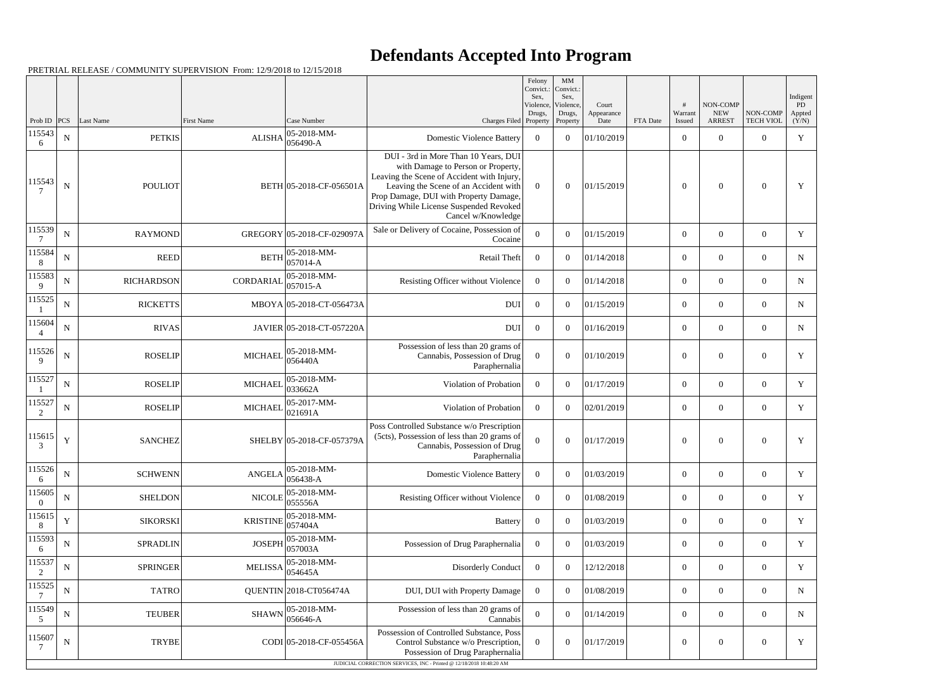## **Defendants Accepted Into Program**

|                        |                  |                            |                   |                                 |                                                                                                                                                                                                                                      | Felony<br>Convict.:<br>Sex. | MM<br>Convict.:<br>Sex, |                     |          |                          |                                 |                                    | Indigent     |
|------------------------|------------------|----------------------------|-------------------|---------------------------------|--------------------------------------------------------------------------------------------------------------------------------------------------------------------------------------------------------------------------------------|-----------------------------|-------------------------|---------------------|----------|--------------------------|---------------------------------|------------------------------------|--------------|
|                        |                  |                            |                   |                                 |                                                                                                                                                                                                                                      | Violence,<br>Drugs,         | Violence,<br>Drugs,     | Court<br>Appearance |          | #<br>Warrant             | NON-COMP<br><b>NEW</b>          | NON-COMP                           | PD<br>Appted |
| Prob ID<br>115543      | PCS<br>${\bf N}$ | Last Name<br><b>PETKIS</b> | <b>First Name</b> | Case Number<br>05-2018-MM-      | Charges Filed Property<br><b>Domestic Violence Battery</b>                                                                                                                                                                           | $\overline{0}$              | Property<br>$\theta$    | Date<br>01/10/2019  | FTA Date | Issued<br>$\overline{0}$ | <b>ARREST</b><br>$\overline{0}$ | <b>TECH VIOL</b><br>$\overline{0}$ | (Y/N)<br>Y   |
| 6                      |                  |                            |                   | $ALISHA \big  056490 - A$       | DUI - 3rd in More Than 10 Years, DUI                                                                                                                                                                                                 |                             |                         |                     |          |                          |                                 |                                    |              |
| 115543                 | $\mathbf N$      | <b>POULIOT</b>             |                   | BETH 05-2018-CF-056501A         | with Damage to Person or Property,<br>Leaving the Scene of Accident with Injury,<br>Leaving the Scene of an Accident with<br>Prop Damage, DUI with Property Damage,<br>Driving While License Suspended Revoked<br>Cancel w/Knowledge | $\Omega$                    | $\theta$                | 01/15/2019          |          | $\theta$                 | $\mathbf{0}$                    | $\Omega$                           | Y            |
| 115539                 | $\mathbf N$      | <b>RAYMOND</b>             |                   | GREGORY 05-2018-CF-029097A      | Sale or Delivery of Cocaine, Possession of<br>Cocaine                                                                                                                                                                                | $\Omega$                    | $\theta$                | 01/15/2019          |          | $\theta$                 | $\overline{0}$                  | $\overline{0}$                     | Y            |
| 115584<br>8            | ${\bf N}$        | <b>REED</b>                | <b>BETH</b>       | $ 05-2018-MM-$<br>$ 057014 - A$ | Retail Theft                                                                                                                                                                                                                         | $\theta$                    | $\theta$                | 01/14/2018          |          | $\theta$                 | $\theta$                        | $\overline{0}$                     | ${\bf N}$    |
| 115583<br>9            | ${\bf N}$        | <b>RICHARDSON</b>          | <b>CORDARIAL</b>  | $ 05-2018-MM-$<br>$ 057015-A$   | Resisting Officer without Violence                                                                                                                                                                                                   | $\overline{0}$              | $\Omega$                | 01/14/2018          |          | $\overline{0}$           | $\overline{0}$                  | $\overline{0}$                     | $\mathbf N$  |
| 115525                 | ${\bf N}$        | <b>RICKETTS</b>            |                   | MBOYA 05-2018-CT-056473A        | <b>DUI</b>                                                                                                                                                                                                                           | $\overline{0}$              | $\theta$                | 01/15/2019          |          | $\overline{0}$           | $\theta$                        | $\overline{0}$                     | $\mathbf N$  |
| 115604                 | ${\bf N}$        | <b>RIVAS</b>               |                   | JAVIER 05-2018-CT-057220A       | <b>DUI</b>                                                                                                                                                                                                                           | $\overline{0}$              | $\Omega$                | 01/16/2019          |          | $\overline{0}$           | $\overline{0}$                  | $\overline{0}$                     | ${\bf N}$    |
| 115526<br>$\mathbf{Q}$ | $\mathbf N$      | <b>ROSELIP</b>             | <b>MICHAEL</b>    | $ 05-2018-MM-$<br>056440A       | Possession of less than 20 grams of<br>Cannabis, Possession of Drug<br>Paraphernalia                                                                                                                                                 | $\theta$                    | $\Omega$                | 01/10/2019          |          | $\theta$                 | $\theta$                        | $\theta$                           | Y            |
| 115527                 | ${\bf N}$        | <b>ROSELIP</b>             | <b>MICHAEL</b>    | 05-2018-MM-<br>033662A          | Violation of Probation                                                                                                                                                                                                               | $\Omega$                    | $\theta$                | 01/17/2019          |          | $\theta$                 | $\overline{0}$                  | $\overline{0}$                     | $\mathbf Y$  |
| 115527<br>2            | ${\bf N}$        | <b>ROSELIP</b>             | <b>MICHAEL</b>    | 05-2017-MM-<br> 021691A         | Violation of Probation                                                                                                                                                                                                               | $\theta$                    | $\theta$                | 02/01/2019          |          | $\overline{0}$           | $\overline{0}$                  | $\overline{0}$                     | Y            |
| 115615<br>3            | Y                | <b>SANCHEZ</b>             |                   | SHELBY 05-2018-CF-057379A       | Poss Controlled Substance w/o Prescription<br>(5cts), Possession of less than 20 grams of<br>Cannabis, Possession of Drug<br>Paraphernalia                                                                                           | $\Omega$                    | $\Omega$                | 01/17/2019          |          | $\overline{0}$           | $\theta$                        | $\boldsymbol{0}$                   | Y            |
| 115526<br>6            | ${\bf N}$        | <b>SCHWENN</b>             | <b>ANGELA</b>     | $ 05-2018-MM-$<br>056438-A      | <b>Domestic Violence Battery</b>                                                                                                                                                                                                     | $\overline{0}$              | $\overline{0}$          | 01/03/2019          |          | $\boldsymbol{0}$         | $\boldsymbol{0}$                | $\boldsymbol{0}$                   | Y            |
| 115605<br>$\Omega$     | $\mathbf N$      | <b>SHELDON</b>             | <b>NICOLE</b>     | $ 05-2018-MM-$<br>055556A       | Resisting Officer without Violence                                                                                                                                                                                                   | $\overline{0}$              | $\boldsymbol{0}$        | 01/08/2019          |          | $\overline{0}$           | $\boldsymbol{0}$                | $\boldsymbol{0}$                   | Y            |
| 115615<br>8            | $\mathbf Y$      | <b>SIKORSKI</b>            | <b>KRISTINE</b>   | 05-2018-MM-<br>057404A          | <b>Battery</b>                                                                                                                                                                                                                       | $\mathbf{0}$                | $\overline{0}$          | 01/03/2019          |          | $\mathbf{0}$             | $\overline{0}$                  | $\boldsymbol{0}$                   | $\mathbf Y$  |
| 115593<br>6            | $\mathbf N$      | <b>SPRADLIN</b>            | <b>JOSEPH</b>     | $ 05-2018-MM-$<br>057003A       | Possession of Drug Paraphernalia                                                                                                                                                                                                     | $\overline{0}$              | $\overline{0}$          | 01/03/2019          |          | $\overline{0}$           | $\boldsymbol{0}$                | $\boldsymbol{0}$                   | Y            |
| 115537<br>2            | ${\bf N}$        | <b>SPRINGER</b>            | <b>MELISSA</b>    | 05-2018-MM-<br>054645A          | Disorderly Conduct                                                                                                                                                                                                                   | $\overline{0}$              | $\boldsymbol{0}$        | 12/12/2018          |          | $\mathbf{0}$             | $\overline{0}$                  | $\boldsymbol{0}$                   | $\mathbf Y$  |
| 115525                 | $\mathbf N$      | <b>TATRO</b>               |                   | QUENTIN 2018-CT056474A          | DUI, DUI with Property Damage                                                                                                                                                                                                        | $\overline{0}$              | $\boldsymbol{0}$        | 01/08/2019          |          | $\overline{0}$           | $\boldsymbol{0}$                | $\boldsymbol{0}$                   | $\mathbf N$  |
| 115549<br>$\sqrt{5}$   | ${\bf N}$        | <b>TEUBER</b>              | <b>SHAWN</b>      | 05-2018-MM-<br>056646-A         | Possession of less than 20 grams of<br>Cannabis                                                                                                                                                                                      | $\mathbf{0}$                | $\boldsymbol{0}$        | 01/14/2019          |          | $\mathbf{0}$             | $\overline{0}$                  | $\boldsymbol{0}$                   | $\mathbf N$  |
| 115607                 | $\mathbf N$      | <b>TRYBE</b>               |                   | CODI 05-2018-CF-055456A         | Possession of Controlled Substance, Poss<br>Control Substance w/o Prescription,<br>Possession of Drug Paraphernalia                                                                                                                  | $\Omega$                    | $\theta$                | 01/17/2019          |          | $\boldsymbol{0}$         | $\boldsymbol{0}$                | $\boldsymbol{0}$                   | Y            |
|                        |                  |                            |                   |                                 | JUDICIAL CORRECTION SERVICES, INC - Printed @ 12/18/2018 10:48:20 AM                                                                                                                                                                 |                             |                         |                     |          |                          |                                 |                                    |              |